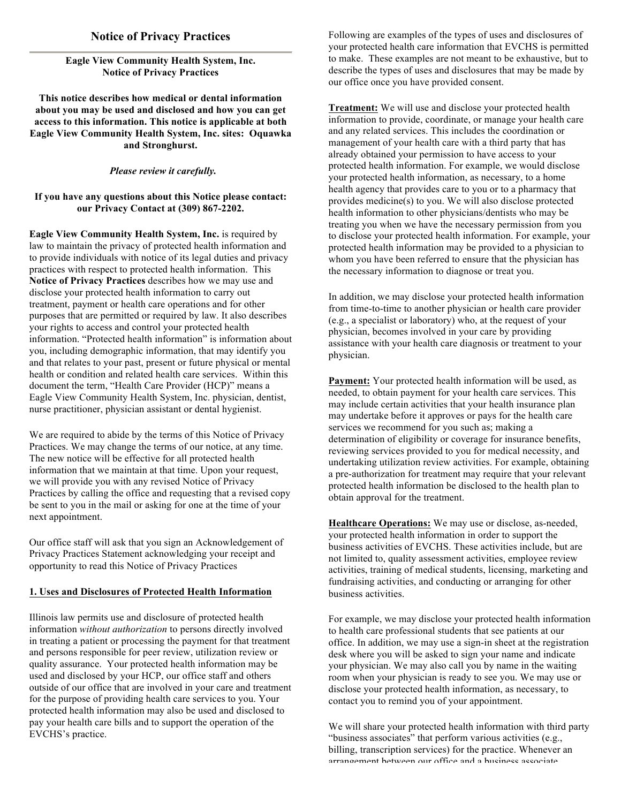# **Notice of Privacy Practices**

**Eagle View Community Health System, Inc. Notice of Privacy Practices** 

**This notice describes how medical or dental information about you may be used and disclosed and how you can get access to this information. This notice is applicable at both Eagle View Community Health System, Inc. sites: Oquawka and Stronghurst.** 

#### *Please review it carefully.*

## **If you have any questions about this Notice please contact: our Privacy Contact at (309) 867-2202.**

**Eagle View Community Health System, Inc.** is required by law to maintain the privacy of protected health information and to provide individuals with notice of its legal duties and privacy practices with respect to protected health information. This **Notice of Privacy Practices** describes how we may use and disclose your protected health information to carry out treatment, payment or health care operations and for other purposes that are permitted or required by law. It also describes your rights to access and control your protected health information. "Protected health information" is information about you, including demographic information, that may identify you and that relates to your past, present or future physical or mental health or condition and related health care services. Within this document the term, "Health Care Provider (HCP)" means a Eagle View Community Health System, Inc. physician, dentist, nurse practitioner, physician assistant or dental hygienist.

We are required to abide by the terms of this Notice of Privacy Practices. We may change the terms of our notice, at any time. The new notice will be effective for all protected health information that we maintain at that time. Upon your request, we will provide you with any revised Notice of Privacy Practices by calling the office and requesting that a revised copy be sent to you in the mail or asking for one at the time of your next appointment.

Our office staff will ask that you sign an Acknowledgement of Privacy Practices Statement acknowledging your receipt and opportunity to read this Notice of Privacy Practices

## **1. Uses and Disclosures of Protected Health Information**

Illinois law permits use and disclosure of protected health information *without authorization* to persons directly involved in treating a patient or processing the payment for that treatment and persons responsible for peer review, utilization review or quality assurance. Your protected health information may be used and disclosed by your HCP, our office staff and others outside of our office that are involved in your care and treatment for the purpose of providing health care services to you. Your protected health information may also be used and disclosed to pay your health care bills and to support the operation of the EVCHS's practice.

Following are examples of the types of uses and disclosures of your protected health care information that EVCHS is permitted to make. These examples are not meant to be exhaustive, but to describe the types of uses and disclosures that may be made by our office once you have provided consent.

**Treatment:** We will use and disclose your protected health information to provide, coordinate, or manage your health care and any related services. This includes the coordination or management of your health care with a third party that has already obtained your permission to have access to your protected health information. For example, we would disclose your protected health information, as necessary, to a home health agency that provides care to you or to a pharmacy that provides medicine(s) to you. We will also disclose protected health information to other physicians/dentists who may be treating you when we have the necessary permission from you to disclose your protected health information. For example, your protected health information may be provided to a physician to whom you have been referred to ensure that the physician has the necessary information to diagnose or treat you.

In addition, we may disclose your protected health information from time-to-time to another physician or health care provider (e.g., a specialist or laboratory) who, at the request of your physician, becomes involved in your care by providing assistance with your health care diagnosis or treatment to your physician.

**Payment:** Your protected health information will be used, as needed, to obtain payment for your health care services. This may include certain activities that your health insurance plan may undertake before it approves or pays for the health care services we recommend for you such as; making a determination of eligibility or coverage for insurance benefits, reviewing services provided to you for medical necessity, and undertaking utilization review activities. For example, obtaining a pre-authorization for treatment may require that your relevant protected health information be disclosed to the health plan to obtain approval for the treatment.

**Healthcare Operations:** We may use or disclose, as-needed, your protected health information in order to support the business activities of EVCHS. These activities include, but are not limited to, quality assessment activities, employee review activities, training of medical students, licensing, marketing and fundraising activities, and conducting or arranging for other business activities.

For example, we may disclose your protected health information to health care professional students that see patients at our office. In addition, we may use a sign-in sheet at the registration desk where you will be asked to sign your name and indicate your physician. We may also call you by name in the waiting room when your physician is ready to see you. We may use or disclose your protected health information, as necessary, to contact you to remind you of your appointment.

We will share your protected health information with third party "business associates" that perform various activities (e.g., billing, transcription services) for the practice. Whenever an arrangement between our office and a business associate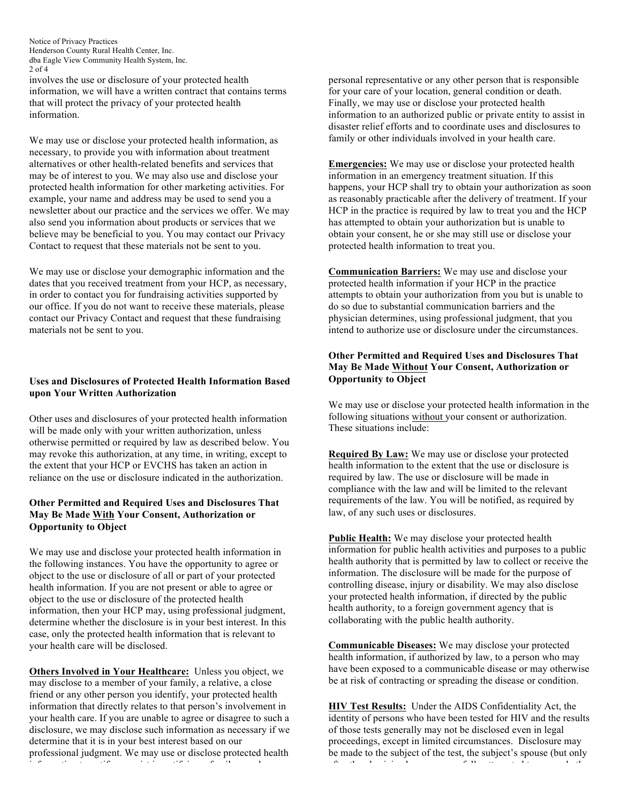Notice of Privacy Practices Henderson County Rural Health Center, Inc. dba Eagle View Community Health System, Inc. 2 of 4

involves the use or disclosure of your protected health information, we will have a written contract that contains terms that will protect the privacy of your protected health information.

We may use or disclose your protected health information, as necessary, to provide you with information about treatment alternatives or other health-related benefits and services that may be of interest to you. We may also use and disclose your protected health information for other marketing activities. For example, your name and address may be used to send you a newsletter about our practice and the services we offer. We may also send you information about products or services that we believe may be beneficial to you. You may contact our Privacy Contact to request that these materials not be sent to you.

We may use or disclose your demographic information and the dates that you received treatment from your HCP, as necessary, in order to contact you for fundraising activities supported by our office. If you do not want to receive these materials, please contact our Privacy Contact and request that these fundraising materials not be sent to you.

## **Uses and Disclosures of Protected Health Information Based upon Your Written Authorization**

Other uses and disclosures of your protected health information will be made only with your written authorization, unless otherwise permitted or required by law as described below. You may revoke this authorization, at any time, in writing, except to the extent that your HCP or EVCHS has taken an action in reliance on the use or disclosure indicated in the authorization.

## **Other Permitted and Required Uses and Disclosures That May Be Made With Your Consent, Authorization or Opportunity to Object**

We may use and disclose your protected health information in the following instances. You have the opportunity to agree or object to the use or disclosure of all or part of your protected health information. If you are not present or able to agree or object to the use or disclosure of the protected health information, then your HCP may, using professional judgment, determine whether the disclosure is in your best interest. In this case, only the protected health information that is relevant to your health care will be disclosed.

**Others Involved in Your Healthcare:** Unless you object, we may disclose to a member of your family, a relative, a close friend or any other person you identify, your protected health information that directly relates to that person's involvement in your health care. If you are unable to agree or disagree to such a disclosure, we may disclose such information as necessary if we determine that it is in your best interest based on our professional judgment. We may use or disclose protected health information to notify or assist in notifying a family member,

personal representative or any other person that is responsible for your care of your location, general condition or death. Finally, we may use or disclose your protected health information to an authorized public or private entity to assist in disaster relief efforts and to coordinate uses and disclosures to family or other individuals involved in your health care.

**Emergencies:** We may use or disclose your protected health information in an emergency treatment situation. If this happens, your HCP shall try to obtain your authorization as soon as reasonably practicable after the delivery of treatment. If your HCP in the practice is required by law to treat you and the HCP has attempted to obtain your authorization but is unable to obtain your consent, he or she may still use or disclose your protected health information to treat you.

**Communication Barriers:** We may use and disclose your protected health information if your HCP in the practice attempts to obtain your authorization from you but is unable to do so due to substantial communication barriers and the physician determines, using professional judgment, that you intend to authorize use or disclosure under the circumstances.

## **Other Permitted and Required Uses and Disclosures That May Be Made Without Your Consent, Authorization or Opportunity to Object**

We may use or disclose your protected health information in the following situations without your consent or authorization. These situations include:

**Required By Law:** We may use or disclose your protected health information to the extent that the use or disclosure is required by law. The use or disclosure will be made in compliance with the law and will be limited to the relevant requirements of the law. You will be notified, as required by law, of any such uses or disclosures.

**Public Health:** We may disclose your protected health information for public health activities and purposes to a public health authority that is permitted by law to collect or receive the information. The disclosure will be made for the purpose of controlling disease, injury or disability. We may also disclose your protected health information, if directed by the public health authority, to a foreign government agency that is collaborating with the public health authority.

**Communicable Diseases:** We may disclose your protected health information, if authorized by law, to a person who may have been exposed to a communicable disease or may otherwise be at risk of contracting or spreading the disease or condition.

**HIV Test Results:** Under the AIDS Confidentiality Act, the identity of persons who have been tested for HIV and the results of those tests generally may not be disclosed even in legal proceedings, except in limited circumstances. Disclosure may be made to the subject of the test, the subject's spouse (but only after the physician has unsuccessfully attenpted to persuade the persuade the persuade the persuade the persuad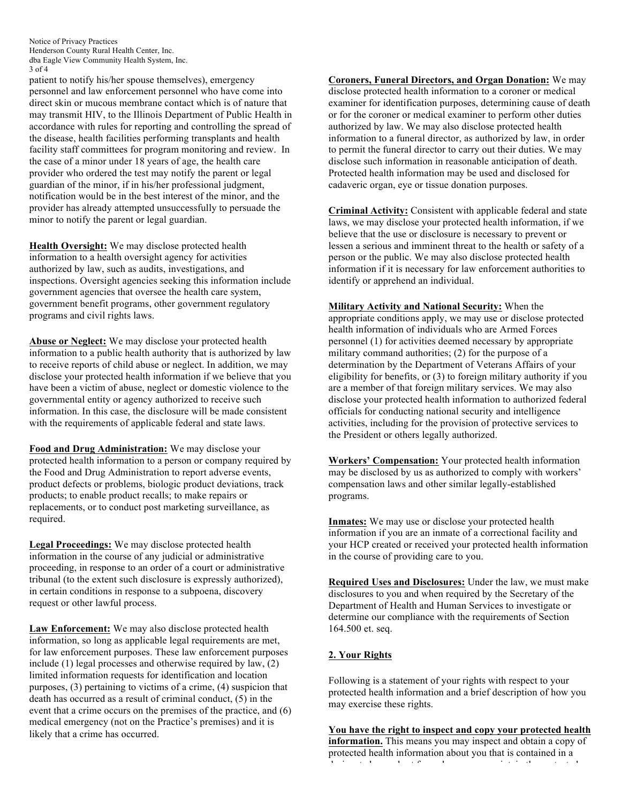Notice of Privacy Practices Henderson County Rural Health Center, Inc. dba Eagle View Community Health System, Inc. 3 of 4

patient to notify his/her spouse themselves), emergency personnel and law enforcement personnel who have come into direct skin or mucous membrane contact which is of nature that may transmit HIV, to the Illinois Department of Public Health in accordance with rules for reporting and controlling the spread of the disease, health facilities performing transplants and health facility staff committees for program monitoring and review. In the case of a minor under 18 years of age, the health care provider who ordered the test may notify the parent or legal guardian of the minor, if in his/her professional judgment, notification would be in the best interest of the minor, and the provider has already attempted unsuccessfully to persuade the minor to notify the parent or legal guardian.

**Health Oversight:** We may disclose protected health information to a health oversight agency for activities authorized by law, such as audits, investigations, and inspections. Oversight agencies seeking this information include government agencies that oversee the health care system, government benefit programs, other government regulatory programs and civil rights laws.

**Abuse or Neglect:** We may disclose your protected health information to a public health authority that is authorized by law to receive reports of child abuse or neglect. In addition, we may disclose your protected health information if we believe that you have been a victim of abuse, neglect or domestic violence to the governmental entity or agency authorized to receive such information. In this case, the disclosure will be made consistent with the requirements of applicable federal and state laws.

**Food and Drug Administration:** We may disclose your protected health information to a person or company required by the Food and Drug Administration to report adverse events, product defects or problems, biologic product deviations, track products; to enable product recalls; to make repairs or replacements, or to conduct post marketing surveillance, as required.

**Legal Proceedings:** We may disclose protected health information in the course of any judicial or administrative proceeding, in response to an order of a court or administrative tribunal (to the extent such disclosure is expressly authorized), in certain conditions in response to a subpoena, discovery request or other lawful process.

**Law Enforcement:** We may also disclose protected health information, so long as applicable legal requirements are met, for law enforcement purposes. These law enforcement purposes include (1) legal processes and otherwise required by law, (2) limited information requests for identification and location purposes, (3) pertaining to victims of a crime, (4) suspicion that death has occurred as a result of criminal conduct, (5) in the event that a crime occurs on the premises of the practice, and (6) medical emergency (not on the Practice's premises) and it is likely that a crime has occurred.

**Coroners, Funeral Directors, and Organ Donation:** We may disclose protected health information to a coroner or medical examiner for identification purposes, determining cause of death or for the coroner or medical examiner to perform other duties authorized by law. We may also disclose protected health information to a funeral director, as authorized by law, in order to permit the funeral director to carry out their duties. We may disclose such information in reasonable anticipation of death. Protected health information may be used and disclosed for cadaveric organ, eye or tissue donation purposes.

**Criminal Activity:** Consistent with applicable federal and state laws, we may disclose your protected health information, if we believe that the use or disclosure is necessary to prevent or lessen a serious and imminent threat to the health or safety of a person or the public. We may also disclose protected health information if it is necessary for law enforcement authorities to identify or apprehend an individual.

**Military Activity and National Security:** When the appropriate conditions apply, we may use or disclose protected health information of individuals who are Armed Forces personnel (1) for activities deemed necessary by appropriate military command authorities; (2) for the purpose of a determination by the Department of Veterans Affairs of your eligibility for benefits, or (3) to foreign military authority if you are a member of that foreign military services. We may also disclose your protected health information to authorized federal officials for conducting national security and intelligence activities, including for the provision of protective services to the President or others legally authorized.

**Workers' Compensation:** Your protected health information may be disclosed by us as authorized to comply with workers' compensation laws and other similar legally-established programs.

**Inmates:** We may use or disclose your protected health information if you are an inmate of a correctional facility and your HCP created or received your protected health information in the course of providing care to you.

**Required Uses and Disclosures:** Under the law, we must make disclosures to you and when required by the Secretary of the Department of Health and Human Services to investigate or determine our compliance with the requirements of Section 164.500 et. seq.

# **2. Your Rights**

Following is a statement of your rights with respect to your protected health information and a brief description of how you may exercise these rights.

**You have the right to inspect and copy your protected health information.** This means you may inspect and obtain a copy of protected health information about you that is contained in a designated record set for as  $\sigma$